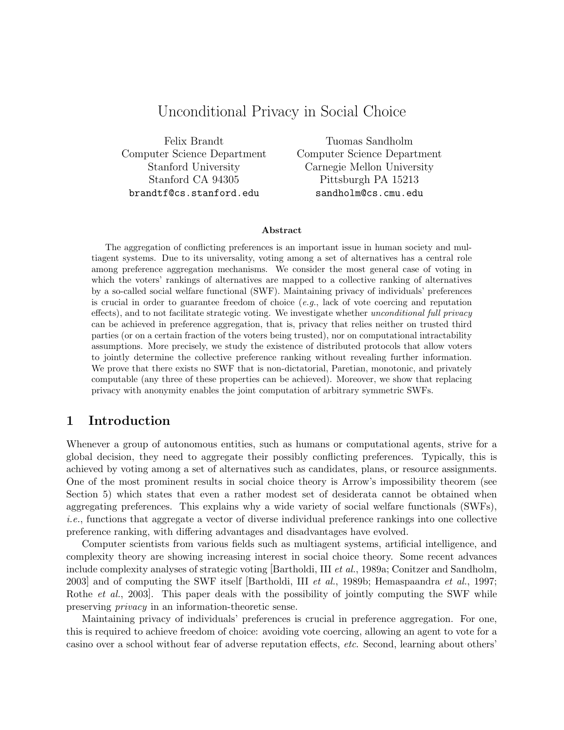# Unconditional Privacy in Social Choice

Felix Brandt Computer Science Department Stanford University Stanford CA 94305 brandtf@cs.stanford.edu

Tuomas Sandholm Computer Science Department Carnegie Mellon University Pittsburgh PA 15213 sandholm@cs.cmu.edu

#### Abstract

The aggregation of conflicting preferences is an important issue in human society and multiagent systems. Due to its universality, voting among a set of alternatives has a central role among preference aggregation mechanisms. We consider the most general case of voting in which the voters' rankings of alternatives are mapped to a collective ranking of alternatives by a so-called social welfare functional (SWF). Maintaining privacy of individuals' preferences is crucial in order to guarantee freedom of choice  $(e.g., \text{ lack of vote covering and reputation})$ effects), and to not facilitate strategic voting. We investigate whether unconditional full privacy can be achieved in preference aggregation, that is, privacy that relies neither on trusted third parties (or on a certain fraction of the voters being trusted), nor on computational intractability assumptions. More precisely, we study the existence of distributed protocols that allow voters to jointly determine the collective preference ranking without revealing further information. We prove that there exists no SWF that is non-dictatorial, Paretian, monotonic, and privately computable (any three of these properties can be achieved). Moreover, we show that replacing privacy with anonymity enables the joint computation of arbitrary symmetric SWFs.

### 1 Introduction

Whenever a group of autonomous entities, such as humans or computational agents, strive for a global decision, they need to aggregate their possibly conflicting preferences. Typically, this is achieved by voting among a set of alternatives such as candidates, plans, or resource assignments. One of the most prominent results in social choice theory is Arrow's impossibility theorem (see Section 5) which states that even a rather modest set of desiderata cannot be obtained when aggregating preferences. This explains why a wide variety of social welfare functionals (SWFs), i.e., functions that aggregate a vector of diverse individual preference rankings into one collective preference ranking, with differing advantages and disadvantages have evolved.

Computer scientists from various fields such as multiagent systems, artificial intelligence, and complexity theory are showing increasing interest in social choice theory. Some recent advances include complexity analyses of strategic voting [Bartholdi, III et al., 1989a; Conitzer and Sandholm, 2003] and of computing the SWF itself [Bartholdi, III et al., 1989b; Hemaspaandra et al., 1997; Rothe *et al.*, 2003. This paper deals with the possibility of jointly computing the SWF while preserving privacy in an information-theoretic sense.

Maintaining privacy of individuals' preferences is crucial in preference aggregation. For one, this is required to achieve freedom of choice: avoiding vote coercing, allowing an agent to vote for a casino over a school without fear of adverse reputation effects, etc. Second, learning about others'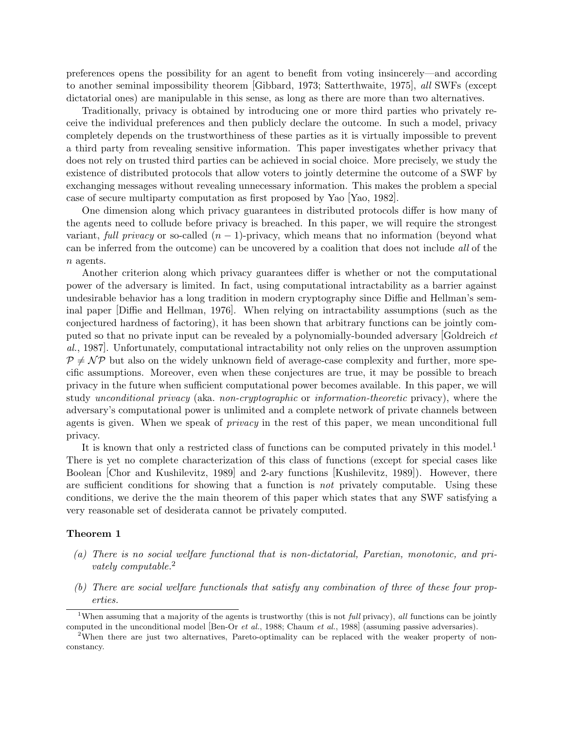preferences opens the possibility for an agent to benefit from voting insincerely—and according to another seminal impossibility theorem [Gibbard, 1973; Satterthwaite, 1975], all SWFs (except dictatorial ones) are manipulable in this sense, as long as there are more than two alternatives.

Traditionally, privacy is obtained by introducing one or more third parties who privately receive the individual preferences and then publicly declare the outcome. In such a model, privacy completely depends on the trustworthiness of these parties as it is virtually impossible to prevent a third party from revealing sensitive information. This paper investigates whether privacy that does not rely on trusted third parties can be achieved in social choice. More precisely, we study the existence of distributed protocols that allow voters to jointly determine the outcome of a SWF by exchanging messages without revealing unnecessary information. This makes the problem a special case of secure multiparty computation as first proposed by Yao [Yao, 1982].

One dimension along which privacy guarantees in distributed protocols differ is how many of the agents need to collude before privacy is breached. In this paper, we will require the strongest variant, full privacy or so-called  $(n - 1)$ -privacy, which means that no information (beyond what can be inferred from the outcome) can be uncovered by a coalition that does not include all of the n agents.

Another criterion along which privacy guarantees differ is whether or not the computational power of the adversary is limited. In fact, using computational intractability as a barrier against undesirable behavior has a long tradition in modern cryptography since Diffie and Hellman's seminal paper [Diffie and Hellman, 1976]. When relying on intractability assumptions (such as the conjectured hardness of factoring), it has been shown that arbitrary functions can be jointly computed so that no private input can be revealed by a polynomially-bounded adversary [Goldreich et al., 1987]. Unfortunately, computational intractability not only relies on the unproven assumption  $P \neq \mathcal{NP}$  but also on the widely unknown field of average-case complexity and further, more specific assumptions. Moreover, even when these conjectures are true, it may be possible to breach privacy in the future when sufficient computational power becomes available. In this paper, we will study unconditional privacy (aka. non-cryptographic or information-theoretic privacy), where the adversary's computational power is unlimited and a complete network of private channels between agents is given. When we speak of privacy in the rest of this paper, we mean unconditional full privacy.

It is known that only a restricted class of functions can be computed privately in this model.<sup>1</sup> There is yet no complete characterization of this class of functions (except for special cases like Boolean [Chor and Kushilevitz, 1989] and 2-ary functions [Kushilevitz, 1989]). However, there are sufficient conditions for showing that a function is *not* privately computable. Using these conditions, we derive the the main theorem of this paper which states that any SWF satisfying a very reasonable set of desiderata cannot be privately computed.

### Theorem 1

- (a) There is no social welfare functional that is non-dictatorial, Paretian, monotonic, and privately computable.<sup>2</sup>
- (b) There are social welfare functionals that satisfy any combination of three of these four properties.

<sup>&</sup>lt;sup>1</sup>When assuming that a majority of the agents is trustworthy (this is not full privacy), all functions can be jointly computed in the unconditional model [Ben-Or et al., 1988; Chaum et al., 1988] (assuming passive adversaries).

<sup>&</sup>lt;sup>2</sup>When there are just two alternatives, Pareto-optimality can be replaced with the weaker property of nonconstancy.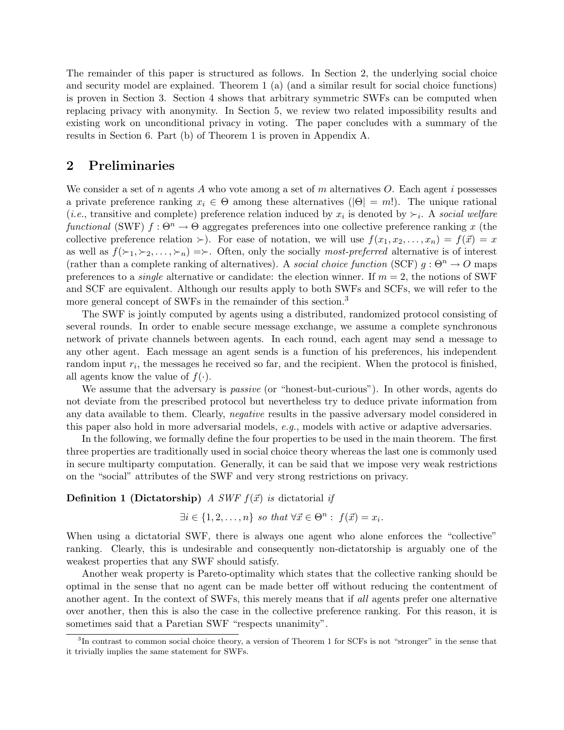The remainder of this paper is structured as follows. In Section 2, the underlying social choice and security model are explained. Theorem 1 (a) (and a similar result for social choice functions) is proven in Section 3. Section 4 shows that arbitrary symmetric SWFs can be computed when replacing privacy with anonymity. In Section 5, we review two related impossibility results and existing work on unconditional privacy in voting. The paper concludes with a summary of the results in Section 6. Part (b) of Theorem 1 is proven in Appendix A.

# 2 Preliminaries

We consider a set of n agents A who vote among a set of m alternatives O. Each agent i possesses a private preference ranking  $x_i \in \Theta$  among these alternatives ( $|\Theta| = m!$ ). The unique rational (*i.e.*, transitive and complete) preference relation induced by  $x_i$  is denoted by  $\succ_i$ . A social welfare functional (SWF)  $f : \Theta^n \to \Theta$  aggregates preferences into one collective preference ranking x (the collective preference relation ≻). For ease of notation, we will use  $f(x_1, x_2, \ldots, x_n) = f(\vec{x}) = x$ as well as  $f(\succ_1, \succ_2, \ldots, \succ_n) = \succ$ . Often, only the socially most-preferred alternative is of interest (rather than a complete ranking of alternatives). A social choice function (SCF)  $q : \Theta^n \to O$  maps preferences to a *single* alternative or candidate: the election winner. If  $m = 2$ , the notions of SWF and SCF are equivalent. Although our results apply to both SWFs and SCFs, we will refer to the more general concept of SWFs in the remainder of this section.<sup>3</sup>

The SWF is jointly computed by agents using a distributed, randomized protocol consisting of several rounds. In order to enable secure message exchange, we assume a complete synchronous network of private channels between agents. In each round, each agent may send a message to any other agent. Each message an agent sends is a function of his preferences, his independent random input  $r_i$ , the messages he received so far, and the recipient. When the protocol is finished, all agents know the value of  $f(.)$ .

We assume that the adversary is *passive* (or "honest-but-curious"). In other words, agents do not deviate from the prescribed protocol but nevertheless try to deduce private information from any data available to them. Clearly, negative results in the passive adversary model considered in this paper also hold in more adversarial models, e.g., models with active or adaptive adversaries.

In the following, we formally define the four properties to be used in the main theorem. The first three properties are traditionally used in social choice theory whereas the last one is commonly used in secure multiparty computation. Generally, it can be said that we impose very weak restrictions on the "social" attributes of the SWF and very strong restrictions on privacy.

#### **Definition 1 (Dictatorship)** A SWF  $f(\vec{x})$  is dictatorial if

$$
\exists i \in \{1, 2, \dots, n\} \text{ so that } \forall \vec{x} \in \Theta^n : f(\vec{x}) = x_i.
$$

When using a dictatorial SWF, there is always one agent who alone enforces the "collective" ranking. Clearly, this is undesirable and consequently non-dictatorship is arguably one of the weakest properties that any SWF should satisfy.

Another weak property is Pareto-optimality which states that the collective ranking should be optimal in the sense that no agent can be made better off without reducing the contentment of another agent. In the context of SWFs, this merely means that if all agents prefer one alternative over another, then this is also the case in the collective preference ranking. For this reason, it is sometimes said that a Paretian SWF "respects unanimity".

<sup>&</sup>lt;sup>3</sup>In contrast to common social choice theory, a version of Theorem 1 for SCFs is not "stronger" in the sense that it trivially implies the same statement for SWFs.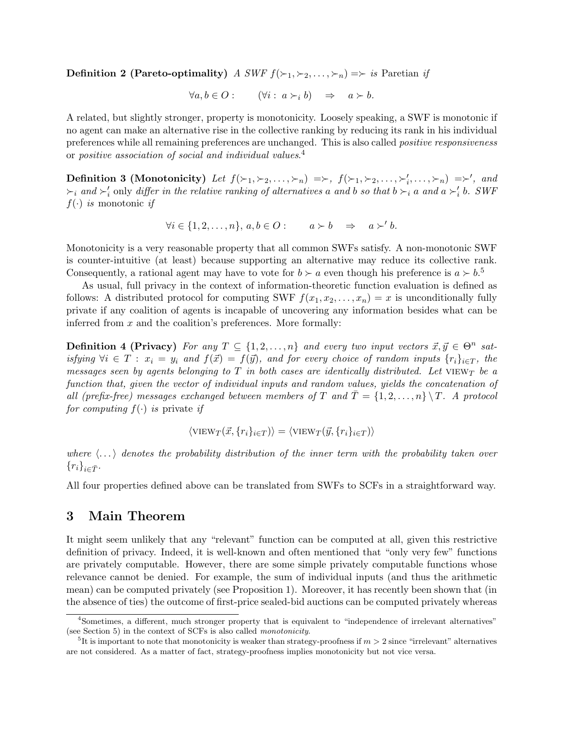**Definition 2 (Pareto-optimality)** A SWF  $f(\succ_1, \succ_2, \ldots, \succ_n) \Rightarrow$  is Paretian if

$$
\forall a, b \in O: \qquad (\forall i: a \succ_i b) \quad \Rightarrow \quad a \succ b.
$$

A related, but slightly stronger, property is monotonicity. Loosely speaking, a SWF is monotonic if no agent can make an alternative rise in the collective ranking by reducing its rank in his individual preferences while all remaining preferences are unchanged. This is also called positive responsiveness or positive association of social and individual values.<sup>4</sup>

Definition 3 (Monotonicity) Let  $f(\succ_1, \succ_2, \ldots, \succ_n) \implies f(\succ_1, \succ_2, \ldots, \succ'_i, \ldots, \succ_n) \implies'$ , and  $\succ_i$  and  $\succ'_i$  only differ in the relative ranking of alternatives a and b so that  $b \succ_i a$  and  $a \succ'_i b$ . SWF  $f(\cdot)$  is monotonic if

$$
\forall i \in \{1, 2, \dots, n\}, \, a, b \in O: \qquad a \succ b \quad \Rightarrow \quad a \succ' b.
$$

Monotonicity is a very reasonable property that all common SWFs satisfy. A non-monotonic SWF is counter-intuitive (at least) because supporting an alternative may reduce its collective rank. Consequently, a rational agent may have to vote for  $b \succ a$  even though his preference is  $a \succ b$ .<sup>5</sup>

As usual, full privacy in the context of information-theoretic function evaluation is defined as follows: A distributed protocol for computing SWF  $f(x_1, x_2, \ldots, x_n) = x$  is unconditionally fully private if any coalition of agents is incapable of uncovering any information besides what can be inferred from  $x$  and the coalition's preferences. More formally:

**Definition 4 (Privacy)** For any  $T \subseteq \{1, 2, ..., n\}$  and every two input vectors  $\vec{x}, \vec{y} \in \Theta^n$  satisfying  $\forall i \in T : x_i = y_i$  and  $f(\vec{x}) = f(\vec{y})$ , and for every choice of random inputs  $\{r_i\}_{i \in T}$ , the messages seen by agents belonging to  $T$  in both cases are identically distributed. Let  $VIEW_T$  be a function that, given the vector of individual inputs and random values, yields the concatenation of all (prefix-free) messages exchanged between members of T and  $\overline{T} = \{1, 2, ..., n\} \setminus T$ . A protocol for computing  $f(\cdot)$  is private if

$$
\langle \text{VIEW}_T(\vec{x}, \{r_i\}_{i \in T}) \rangle = \langle \text{VIEW}_T(\vec{y}, \{r_i\}_{i \in T}) \rangle
$$

where  $\langle \ldots \rangle$  denotes the probability distribution of the inner term with the probability taken over  ${r_i}_{i\in\bar{T}}$ .

All four properties defined above can be translated from SWFs to SCFs in a straightforward way.

### 3 Main Theorem

It might seem unlikely that any "relevant" function can be computed at all, given this restrictive definition of privacy. Indeed, it is well-known and often mentioned that "only very few" functions are privately computable. However, there are some simple privately computable functions whose relevance cannot be denied. For example, the sum of individual inputs (and thus the arithmetic mean) can be computed privately (see Proposition 1). Moreover, it has recently been shown that (in the absence of ties) the outcome of first-price sealed-bid auctions can be computed privately whereas

<sup>4</sup>Sometimes, a different, much stronger property that is equivalent to "independence of irrelevant alternatives" (see Section 5) in the context of SCFs is also called monotonicity.

<sup>&</sup>lt;sup>5</sup>It is important to note that monotonicity is weaker than strategy-proofness if  $m > 2$  since "irrelevant" alternatives are not considered. As a matter of fact, strategy-proofness implies monotonicity but not vice versa.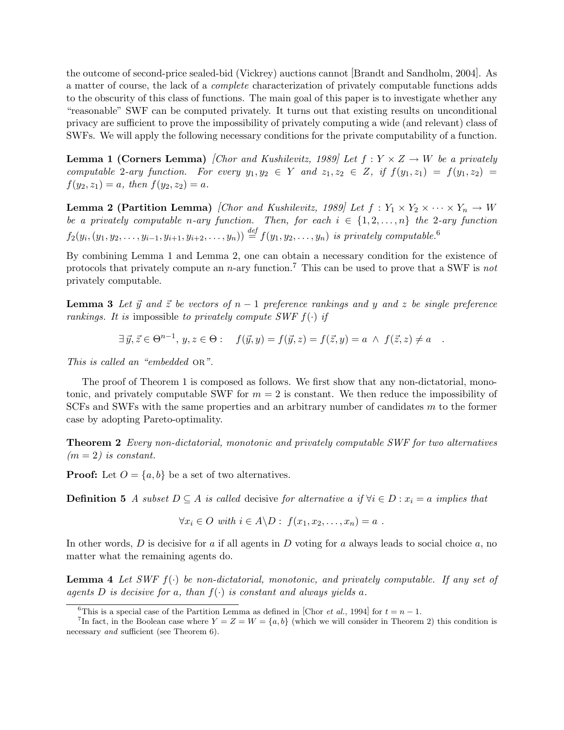the outcome of second-price sealed-bid (Vickrey) auctions cannot [Brandt and Sandholm, 2004]. As a matter of course, the lack of a complete characterization of privately computable functions adds to the obscurity of this class of functions. The main goal of this paper is to investigate whether any "reasonable" SWF can be computed privately. It turns out that existing results on unconditional privacy are sufficient to prove the impossibility of privately computing a wide (and relevant) class of SWFs. We will apply the following necessary conditions for the private computability of a function.

**Lemma 1 (Corners Lemma)** [Chor and Kushilevitz, 1989] Let  $f: Y \times Z \rightarrow W$  be a privately computable 2-ary function. For every  $y_1, y_2 \in Y$  and  $z_1, z_2 \in Z$ , if  $f(y_1, z_1) = f(y_1, z_2) =$  $f(y_2, z_1) = a$ , then  $f(y_2, z_2) = a$ .

**Lemma 2 (Partition Lemma)** [Chor and Kushilevitz, 1989] Let  $f: Y_1 \times Y_2 \times \cdots \times Y_n \to W$ be a privately computable n-ary function. Then, for each  $i \in \{1, 2, ..., n\}$  the 2-ary function  $f_2(y_i, (y_1, y_2, \ldots, y_{i-1}, y_{i+1}, y_{i+2}, \ldots, y_n)) \stackrel{def}{=} f(y_1, y_2, \ldots, y_n)$  is privately computable.<sup>6</sup>

By combining Lemma 1 and Lemma 2, one can obtain a necessary condition for the existence of protocols that privately compute an  $n$ -ary function.<sup>7</sup> This can be used to prove that a SWF is not privately computable.

**Lemma 3** Let  $\vec{y}$  and  $\vec{z}$  be vectors of  $n - 1$  preference rankings and y and z be single preference rankings. It is impossible to privately compute SWF  $f(\cdot)$  if

$$
\exists \vec{y}, \vec{z} \in \Theta^{n-1}, y, z \in \Theta: \quad f(\vec{y}, y) = f(\vec{y}, z) = f(\vec{z}, y) = a \land f(\vec{z}, z) \neq a \quad .
$$

This is called an "embedded OR".

The proof of Theorem 1 is composed as follows. We first show that any non-dictatorial, monotonic, and privately computable SWF for  $m = 2$  is constant. We then reduce the impossibility of  $SCFs$  and SWFs with the same properties and an arbitrary number of candidates m to the former case by adopting Pareto-optimality.

Theorem 2 Every non-dictatorial, monotonic and privately computable SWF for two alternatives  $(m = 2)$  is constant.

**Proof:** Let  $O = \{a, b\}$  be a set of two alternatives.

**Definition 5** A subset  $D \subseteq A$  is called decisive for alternative a if  $\forall i \in D : x_i = a$  implies that

$$
\forall x_i \in O \text{ with } i \in A \backslash D: f(x_1, x_2, \ldots, x_n) = a.
$$

In other words,  $D$  is decisive for a if all agents in  $D$  voting for a always leads to social choice  $a$ , no matter what the remaining agents do.

**Lemma 4** Let SWF  $f(\cdot)$  be non-dictatorial, monotonic, and privately computable. If any set of agents D is decisive for a, than  $f(\cdot)$  is constant and always yields a.

<sup>&</sup>lt;sup>6</sup>This is a special case of the Partition Lemma as defined in [Chor *et al.*, 1994] for  $t = n - 1$ .

<sup>&</sup>lt;sup>7</sup>In fact, in the Boolean case where  $Y = Z = W = \{a, b\}$  (which we will consider in Theorem 2) this condition is necessary *and* sufficient (see Theorem 6).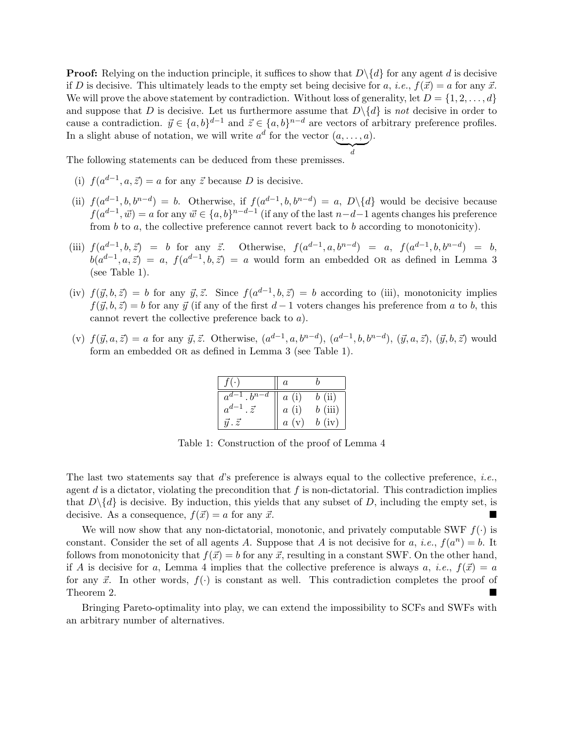**Proof:** Relying on the induction principle, it suffices to show that  $D\backslash\{d\}$  for any agent d is decisive if D is decisive. This ultimately leads to the empty set being decisive for a, i.e.,  $f(\vec{x}) = a$  for any  $\vec{x}$ . We will prove the above statement by contradiction. Without loss of generality, let  $D = \{1, 2, \ldots, d\}$ and suppose that D is decisive. Let us furthermore assume that  $D\setminus\{d\}$  is not decisive in order to cause a contradiction.  $\vec{y} \in \{a, b\}^{d-1}$  and  $\vec{z} \in \{a, b\}^{n-d}$  are vectors of arbitrary preference profiles. In a slight abuse of notation, we will write  $a^d$  for the vector  $(a, \ldots, a)$ .  $\sum_{d}$ 

d

The following statements can be deduced from these premisses.

- (i)  $f(a^{d-1}, a, \vec{z}) = a$  for any  $\vec{z}$  because D is decisive.
- (ii)  $f(a^{d-1}, b, b^{n-d}) = b$ . Otherwise, if  $f(a^{d-1}, b, b^{n-d}) = a$ ,  $D\setminus\{d\}$  would be decisive because  $f(a^{d-1}, \vec{w}) = a$  for any  $\vec{w} \in \{a, b\}^{n-d-1}$  (if any of the last  $n-d-1$  agents changes his preference from b to a, the collective preference cannot revert back to b according to monotonicity).
- (iii)  $f(a^{d-1}, b, \vec{z}) = b$  for any  $\vec{z}$ . Otherwise,  $f(a^{d-1}, a, b^{n-d}) = a$ ,  $f(a^{d-1}, b, b^{n-d}) = b$ ,  $b(a^{d-1}, a, \vec{z}) = a, f(a^{d-1}, b, \vec{z}) = a$  would form an embedded OR as defined in Lemma 3 (see Table 1).
- (iv)  $f(\vec{y}, b, \vec{z}) = b$  for any  $\vec{y}, \vec{z}$ . Since  $f(a^{d-1}, b, \vec{z}) = b$  according to (iii), monotonicity implies  $f(\vec{y}, b, \vec{z}) = b$  for any  $\vec{y}$  (if any of the first  $d-1$  voters changes his preference from a to b, this cannot revert the collective preference back to a).
- (v)  $f(\vec{y}, a, \vec{z}) = a$  for any  $\vec{y}, \vec{z}$ . Otherwise,  $(a^{d-1}, a, b^{n-d}), (a^{d-1}, b, b^{n-d}), (\vec{y}, a, \vec{z}), (\vec{y}, b, \vec{z})$  would form an embedded or as defined in Lemma 3 (see Table 1).

| $f(\cdot)$                   | $\overline{a}$ |        |
|------------------------------|----------------|--------|
| $a^{d-1}$ . $b^{n-d}$        | a(i)           | b(i)   |
| $a^{d-1}$<br>$\cdot \vec{z}$ | a(i)           | b(iii) |
| $\vec{u} \cdot \vec{z}$      | a(v)           | b(iv)  |

Table 1: Construction of the proof of Lemma 4

The last two statements say that d's preference is always equal to the collective preference, i.e., agent d is a dictator, violating the precondition that f is non-dictatorial. This contradiction implies that  $D\backslash \{d\}$  is decisive. By induction, this yields that any subset of D, including the empty set, is decisive. As a consequence,  $f(\vec{x}) = a$  for any  $\vec{x}$ .

We will now show that any non-dictatorial, monotonic, and privately computable SWF  $f(.)$  is constant. Consider the set of all agents A. Suppose that A is not decisive for a, *i.e.*,  $f(a^n) = b$ . It follows from monotonicity that  $f(\vec{x}) = b$  for any  $\vec{x}$ , resulting in a constant SWF. On the other hand, if A is decisive for a, Lemma 4 implies that the collective preference is always a, i.e.,  $f(\vec{x}) = a$ for any  $\vec{x}$ . In other words,  $f(\cdot)$  is constant as well. This contradiction completes the proof of Theorem 2.

Bringing Pareto-optimality into play, we can extend the impossibility to SCFs and SWFs with an arbitrary number of alternatives.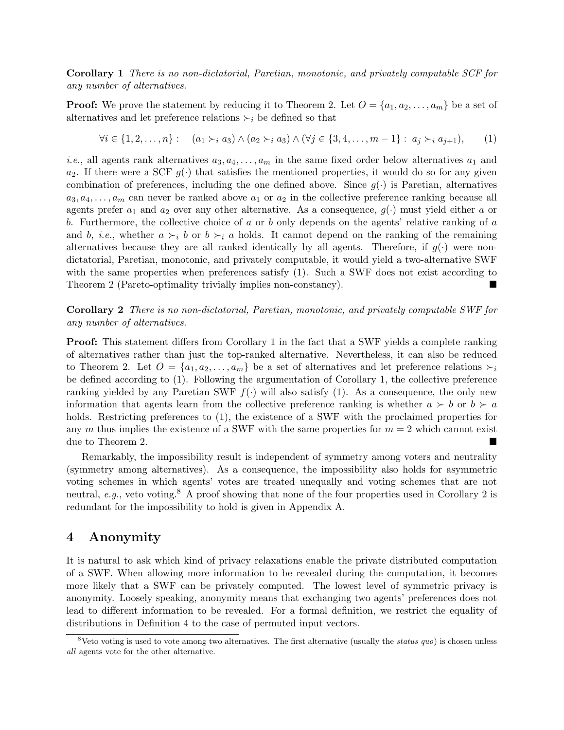Corollary 1 There is no non-dictatorial, Paretian, monotonic, and privately computable SCF for any number of alternatives.

**Proof:** We prove the statement by reducing it to Theorem 2. Let  $O = \{a_1, a_2, \ldots, a_m\}$  be a set of alternatives and let preference relations  $\succ_i$  be defined so that

$$
\forall i \in \{1, 2, \dots, n\} : \quad (a_1 \succ_i a_3) \land (a_2 \succ_i a_3) \land (\forall j \in \{3, 4, \dots, m-1\} : a_j \succ_i a_{j+1}), \tag{1}
$$

*i.e.*, all agents rank alternatives  $a_3, a_4, \ldots, a_m$  in the same fixed order below alternatives  $a_1$  and  $a_2$ . If there were a SCF  $g(\cdot)$  that satisfies the mentioned properties, it would do so for any given combination of preferences, including the one defined above. Since  $g(\cdot)$  is Paretian, alternatives  $a_3, a_4, \ldots, a_m$  can never be ranked above  $a_1$  or  $a_2$  in the collective preference ranking because all agents prefer  $a_1$  and  $a_2$  over any other alternative. As a consequence,  $g(\cdot)$  must yield either a or b. Furthermore, the collective choice of  $a$  or  $b$  only depends on the agents' relative ranking of  $a$ and b, i.e., whether  $a \succ_i b$  or  $b \succ_i a$  holds. It cannot depend on the ranking of the remaining alternatives because they are all ranked identically by all agents. Therefore, if  $q(\cdot)$  were nondictatorial, Paretian, monotonic, and privately computable, it would yield a two-alternative SWF with the same properties when preferences satisfy  $(1)$ . Such a SWF does not exist according to Theorem 2 (Pareto-optimality trivially implies non-constancy).

Corollary 2 There is no non-dictatorial, Paretian, monotonic, and privately computable SWF for any number of alternatives.

Proof: This statement differs from Corollary 1 in the fact that a SWF yields a complete ranking of alternatives rather than just the top-ranked alternative. Nevertheless, it can also be reduced to Theorem 2. Let  $O = \{a_1, a_2, \ldots, a_m\}$  be a set of alternatives and let preference relations  $\succ_i$ be defined according to (1). Following the argumentation of Corollary 1, the collective preference ranking yielded by any Paretian SWF  $f(\cdot)$  will also satisfy (1). As a consequence, the only new information that agents learn from the collective preference ranking is whether  $a \succ b$  or  $b \succ a$ holds. Restricting preferences to  $(1)$ , the existence of a SWF with the proclaimed properties for any m thus implies the existence of a SWF with the same properties for  $m = 2$  which cannot exist due to Theorem 2.

Remarkably, the impossibility result is independent of symmetry among voters and neutrality (symmetry among alternatives). As a consequence, the impossibility also holds for asymmetric voting schemes in which agents' votes are treated unequally and voting schemes that are not neutral, e.g., veto voting.<sup>8</sup> A proof showing that none of the four properties used in Corollary 2 is redundant for the impossibility to hold is given in Appendix A.

### 4 Anonymity

It is natural to ask which kind of privacy relaxations enable the private distributed computation of a SWF. When allowing more information to be revealed during the computation, it becomes more likely that a SWF can be privately computed. The lowest level of symmetric privacy is anonymity. Loosely speaking, anonymity means that exchanging two agents' preferences does not lead to different information to be revealed. For a formal definition, we restrict the equality of distributions in Definition 4 to the case of permuted input vectors.

<sup>&</sup>lt;sup>8</sup>Veto voting is used to vote among two alternatives. The first alternative (usually the *status quo*) is chosen unless all agents vote for the other alternative.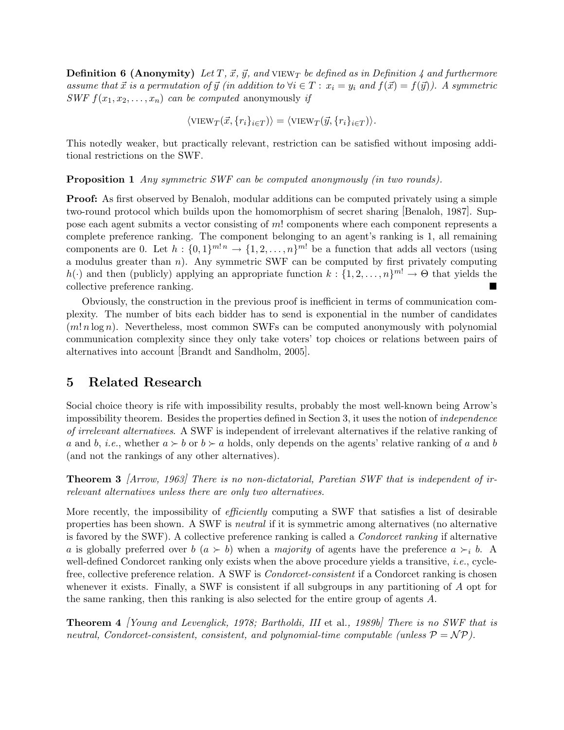**Definition 6 (Anonymity)** Let T,  $\vec{x}$ ,  $\vec{y}$ , and VIEW<sub>T</sub> be defined as in Definition 4 and furthermore assume that  $\vec{x}$  is a permutation of  $\vec{y}$  (in addition to  $\forall i \in T : x_i = y_i$  and  $f(\vec{x}) = f(\vec{y})$ ). A symmetric SWF  $f(x_1, x_2, \ldots, x_n)$  can be computed anonymously if

$$
\langle \text{VIEW}_T(\vec{x}, \{r_i\}_{i \in T}) \rangle = \langle \text{VIEW}_T(\vec{y}, \{r_i\}_{i \in T}) \rangle.
$$

This notedly weaker, but practically relevant, restriction can be satisfied without imposing additional restrictions on the SWF.

Proposition 1 Any symmetric SWF can be computed anonymously (in two rounds).

**Proof:** As first observed by Benaloh, modular additions can be computed privately using a simple two-round protocol which builds upon the homomorphism of secret sharing [Benaloh, 1987]. Suppose each agent submits a vector consisting of m! components where each component represents a complete preference ranking. The component belonging to an agent's ranking is 1, all remaining components are 0. Let  $h: \{0,1\}^{m! n} \to \{1,2,\ldots,n\}^{m!}$  be a function that adds all vectors (using a modulus greater than  $n$ ). Any symmetric SWF can be computed by first privately computing  $h(\cdot)$  and then (publicly) applying an appropriate function  $k: \{1, 2, ..., n\}^{m!} \to \Theta$  that yields the collective preference ranking.

Obviously, the construction in the previous proof is inefficient in terms of communication complexity. The number of bits each bidder has to send is exponential in the number of candidates  $(m! n \log n)$ . Nevertheless, most common SWFs can be computed anonymously with polynomial communication complexity since they only take voters' top choices or relations between pairs of alternatives into account [Brandt and Sandholm, 2005].

# 5 Related Research

Social choice theory is rife with impossibility results, probably the most well-known being Arrow's impossibility theorem. Besides the properties defined in Section 3, it uses the notion of independence of irrelevant alternatives. A SWF is independent of irrelevant alternatives if the relative ranking of a and b, i.e., whether  $a \succ b$  or  $b \succ a$  holds, only depends on the agents' relative ranking of a and b (and not the rankings of any other alternatives).

**Theorem 3** Arrow, 1963 There is no non-dictatorial, Paretian SWF that is independent of irrelevant alternatives unless there are only two alternatives.

More recently, the impossibility of *efficiently* computing a SWF that satisfies a list of desirable properties has been shown. A SWF is neutral if it is symmetric among alternatives (no alternative is favored by the SWF). A collective preference ranking is called a Condorcet ranking if alternative a is globally preferred over b  $(a \succ b)$  when a majority of agents have the preference  $a \succ_i b$ . A well-defined Condorcet ranking only exists when the above procedure yields a transitive, *i.e.*, cyclefree, collective preference relation. A SWF is Condorcet-consistent if a Condorcet ranking is chosen whenever it exists. Finally, a SWF is consistent if all subgroups in any partitioning of A opt for the same ranking, then this ranking is also selected for the entire group of agents A.

**Theorem 4** *[Young and Levenglick, 1978; Bartholdi, III* et al., 1989b] There is no SWF that is neutral, Condorcet-consistent, consistent, and polynomial-time computable (unless  $\mathcal{P} = \mathcal{NP}$ ).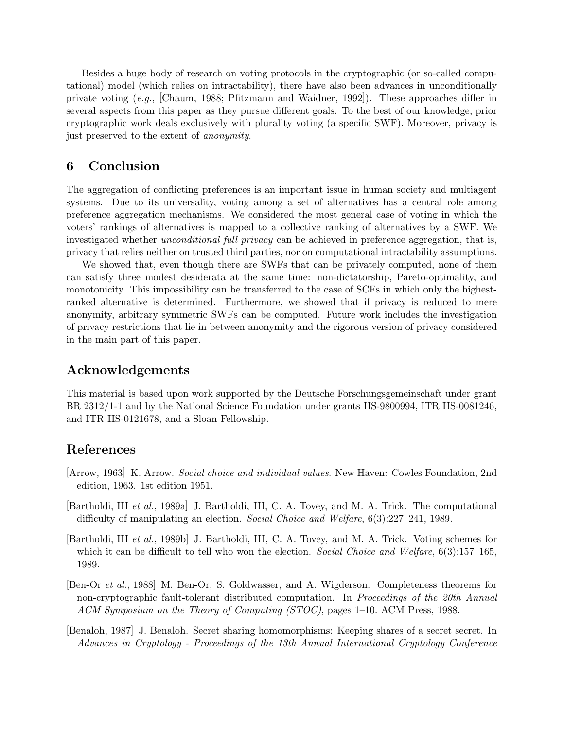Besides a huge body of research on voting protocols in the cryptographic (or so-called computational) model (which relies on intractability), there have also been advances in unconditionally private voting (e.g., [Chaum, 1988; Pfitzmann and Waidner, 1992]). These approaches differ in several aspects from this paper as they pursue different goals. To the best of our knowledge, prior cryptographic work deals exclusively with plurality voting (a specific SWF). Moreover, privacy is just preserved to the extent of anonymity.

# 6 Conclusion

The aggregation of conflicting preferences is an important issue in human society and multiagent systems. Due to its universality, voting among a set of alternatives has a central role among preference aggregation mechanisms. We considered the most general case of voting in which the voters' rankings of alternatives is mapped to a collective ranking of alternatives by a SWF. We investigated whether *unconditional full privacy* can be achieved in preference aggregation, that is, privacy that relies neither on trusted third parties, nor on computational intractability assumptions.

We showed that, even though there are SWFs that can be privately computed, none of them can satisfy three modest desiderata at the same time: non-dictatorship, Pareto-optimality, and monotonicity. This impossibility can be transferred to the case of SCFs in which only the highestranked alternative is determined. Furthermore, we showed that if privacy is reduced to mere anonymity, arbitrary symmetric SWFs can be computed. Future work includes the investigation of privacy restrictions that lie in between anonymity and the rigorous version of privacy considered in the main part of this paper.

# Acknowledgements

This material is based upon work supported by the Deutsche Forschungsgemeinschaft under grant BR 2312/1-1 and by the National Science Foundation under grants IIS-9800994, ITR IIS-0081246, and ITR IIS-0121678, and a Sloan Fellowship.

# References

- [Arrow, 1963] K. Arrow. Social choice and individual values. New Haven: Cowles Foundation, 2nd edition, 1963. 1st edition 1951.
- [Bartholdi, III et al., 1989a] J. Bartholdi, III, C. A. Tovey, and M. A. Trick. The computational difficulty of manipulating an election. Social Choice and Welfare, 6(3):227–241, 1989.
- [Bartholdi, III et al., 1989b] J. Bartholdi, III, C. A. Tovey, and M. A. Trick. Voting schemes for which it can be difficult to tell who won the election. Social Choice and Welfare,  $6(3)$ :157–165, 1989.
- [Ben-Or et al., 1988] M. Ben-Or, S. Goldwasser, and A. Wigderson. Completeness theorems for non-cryptographic fault-tolerant distributed computation. In Proceedings of the 20th Annual ACM Symposium on the Theory of Computing (STOC), pages 1–10. ACM Press, 1988.
- [Benaloh, 1987] J. Benaloh. Secret sharing homomorphisms: Keeping shares of a secret secret. In Advances in Cryptology - Proceedings of the 13th Annual International Cryptology Conference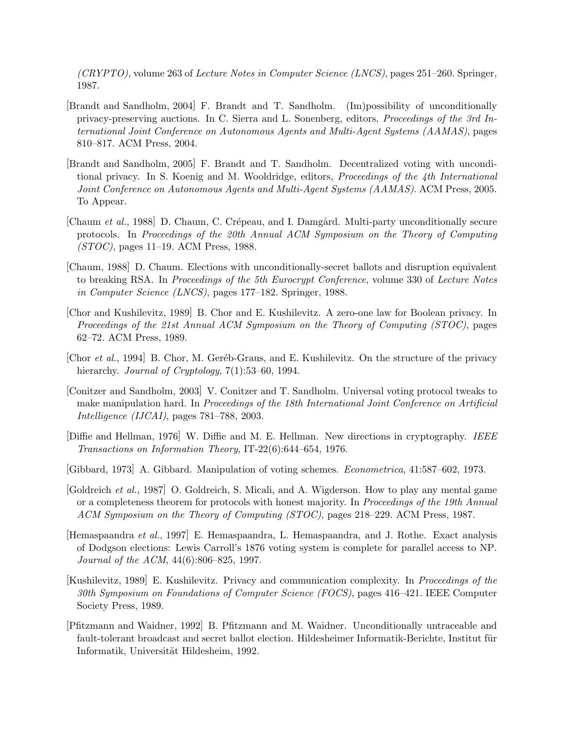(CRYPTO), volume 263 of Lecture Notes in Computer Science (LNCS), pages 251–260. Springer, 1987.

- [Brandt and Sandholm, 2004] F. Brandt and T. Sandholm. (Im)possibility of unconditionally privacy-preserving auctions. In C. Sierra and L. Sonenberg, editors, Proceedings of the 3rd International Joint Conference on Autonomous Agents and Multi-Agent Systems (AAMAS), pages 810–817. ACM Press, 2004.
- [Brandt and Sandholm, 2005] F. Brandt and T. Sandholm. Decentralized voting with unconditional privacy. In S. Koenig and M. Wooldridge, editors, *Proceedings of the 4th International* Joint Conference on Autonomous Agents and Multi-Agent Systems (AAMAS). ACM Press, 2005. To Appear.
- [Chaum et al., 1988] D. Chaum, C. Crépeau, and I. Damgård. Multi-party unconditionally secure protocols. In Proceedings of the 20th Annual ACM Symposium on the Theory of Computing (STOC), pages 11–19. ACM Press, 1988.
- [Chaum, 1988] D. Chaum. Elections with unconditionally-secret ballots and disruption equivalent to breaking RSA. In Proceedings of the 5th Eurocrypt Conference, volume 330 of Lecture Notes in Computer Science (LNCS), pages 177–182. Springer, 1988.
- [Chor and Kushilevitz, 1989] B. Chor and E. Kushilevitz. A zero-one law for Boolean privacy. In Proceedings of the 21st Annual ACM Symposium on the Theory of Computing (STOC), pages 62–72. ACM Press, 1989.
- [Chor et al., 1994] B. Chor, M. Geréb-Graus, and E. Kushilevitz. On the structure of the privacy hierarchy. Journal of Cryptology, 7(1):53–60, 1994.
- [Conitzer and Sandholm, 2003] V. Conitzer and T. Sandholm. Universal voting protocol tweaks to make manipulation hard. In Proceedings of the 18th International Joint Conference on Artificial Intelligence (IJCAI), pages 781–788, 2003.
- [Diffie and Hellman, 1976] W. Diffie and M. E. Hellman. New directions in cryptography. IEEE Transactions on Information Theory, IT-22(6):644–654, 1976.
- [Gibbard, 1973] A. Gibbard. Manipulation of voting schemes. Econometrica, 41:587–602, 1973.
- [Goldreich et al., 1987] O. Goldreich, S. Micali, and A. Wigderson. How to play any mental game or a completeness theorem for protocols with honest majority. In Proceedings of the 19th Annual ACM Symposium on the Theory of Computing (STOC), pages 218–229. ACM Press, 1987.
- [Hemaspaandra et al., 1997] E. Hemaspaandra, L. Hemaspaandra, and J. Rothe. Exact analysis of Dodgson elections: Lewis Carroll's 1876 voting system is complete for parallel access to NP. Journal of the ACM, 44(6):806–825, 1997.
- [Kushilevitz, 1989] E. Kushilevitz. Privacy and communication complexity. In Proceedings of the 30th Symposium on Foundations of Computer Science (FOCS), pages 416–421. IEEE Computer Society Press, 1989.
- [Pfitzmann and Waidner, 1992] B. Pfitzmann and M. Waidner. Unconditionally untraceable and fault-tolerant broadcast and secret ballot election. Hildesheimer Informatik-Berichte, Institut für Informatik, Universität Hildesheim, 1992.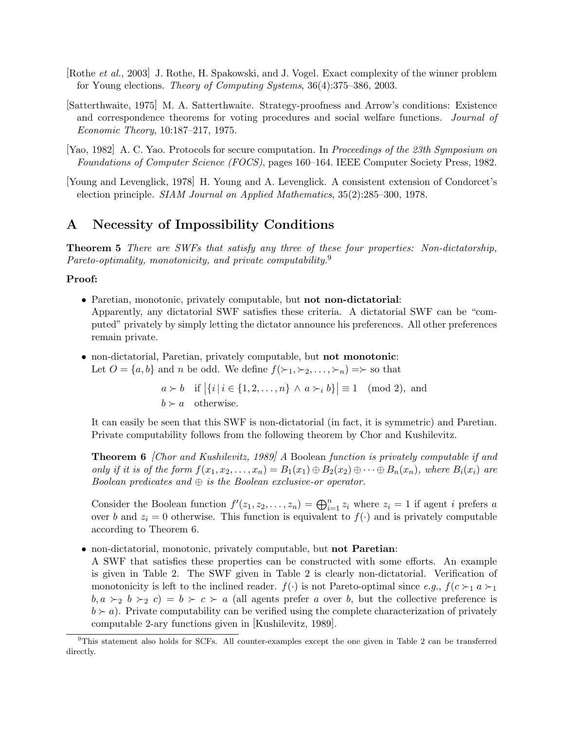- [Rothe et al., 2003] J. Rothe, H. Spakowski, and J. Vogel. Exact complexity of the winner problem for Young elections. Theory of Computing Systems, 36(4):375–386, 2003.
- [Satterthwaite, 1975] M. A. Satterthwaite. Strategy-proofness and Arrow's conditions: Existence and correspondence theorems for voting procedures and social welfare functions. Journal of Economic Theory, 10:187–217, 1975.
- [Yao, 1982] A. C. Yao. Protocols for secure computation. In Proceedings of the 23th Symposium on Foundations of Computer Science (FOCS), pages 160–164. IEEE Computer Society Press, 1982.
- [Young and Levenglick, 1978] H. Young and A. Levenglick. A consistent extension of Condorcet's election principle. SIAM Journal on Applied Mathematics, 35(2):285–300, 1978.

# A Necessity of Impossibility Conditions

Theorem 5 There are SWFs that satisfy any three of these four properties: Non-dictatorship, Pareto-optimality, monotonicity, and private computability.<sup>9</sup>

### Proof:

- Paretian, monotonic, privately computable, but not non-dictatorial: Apparently, any dictatorial SWF satisfies these criteria. A dictatorial SWF can be "computed" privately by simply letting the dictator announce his preferences. All other preferences remain private.
- non-dictatorial, Paretian, privately computable, but **not monotonic**: Let  $O = \{a, b\}$  and n be odd. We define  $f(\succ_1, \succ_2, \ldots, \succ_n) = \succ$  so that

 $a \succ b$  if  $|\{i \mid i \in \{1, 2, ..., n\} \land a \succ_i b\}| \equiv 1 \pmod{2}$ , and  $b \succ a$  otherwise.

It can easily be seen that this SWF is non-dictatorial (in fact, it is symmetric) and Paretian. Private computability follows from the following theorem by Chor and Kushilevitz.

Theorem 6 [Chor and Kushilevitz, 1989] A Boolean function is privately computable if and only if it is of the form  $f(x_1, x_2, \ldots, x_n) = B_1(x_1) \oplus B_2(x_2) \oplus \cdots \oplus B_n(x_n)$ , where  $B_i(x_i)$  are Boolean predicates and  $\oplus$  is the Boolean exclusive-or operator.

Consider the Boolean function  $f'(z_1, z_2, \ldots, z_n) = \bigoplus_{i=1}^n z_i$  where  $z_i = 1$  if agent i prefers a over b and  $z_i = 0$  otherwise. This function is equivalent to  $f(\cdot)$  and is privately computable according to Theorem 6.

• non-dictatorial, monotonic, privately computable, but **not Paretian**:

A SWF that satisfies these properties can be constructed with some efforts. An example is given in Table 2. The SWF given in Table 2 is clearly non-dictatorial. Verification of monotonicity is left to the inclined reader.  $f(\cdot)$  is not Pareto-optimal since e.g.,  $f(c >_1 a >_1)$  $b, a \succ_2 b \succ_2 c$  =  $b \succ c \succ a$  (all agents prefer a over b, but the collective preference is  $b \succ a$ ). Private computability can be verified using the complete characterization of privately computable 2-ary functions given in [Kushilevitz, 1989].

<sup>9</sup>This statement also holds for SCFs. All counter-examples except the one given in Table 2 can be transferred directly.